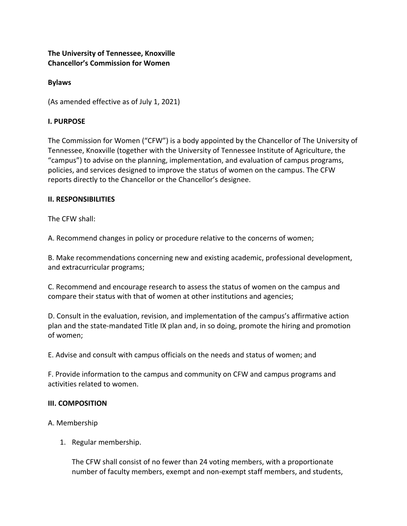**The University of Tennessee, Knoxville Chancellor's Commission for Women**

### **Bylaws**

(As amended effective as of July 1, 2021)

### **I. PURPOSE**

The Commission for Women ("CFW") is a body appointed by the Chancellor of The University of Tennessee, Knoxville (together with the University of Tennessee Institute of Agriculture, the "campus") to advise on the planning, implementation, and evaluation of campus programs, policies, and services designed to improve the status of women on the campus. The CFW reports directly to the Chancellor or the Chancellor's designee.

### **II. RESPONSIBILITIES**

The CFW shall:

A. Recommend changes in policy or procedure relative to the concerns of women;

B. Make recommendations concerning new and existing academic, professional development, and extracurricular programs;

C. Recommend and encourage research to assess the status of women on the campus and compare their status with that of women at other institutions and agencies;

D. Consult in the evaluation, revision, and implementation of the campus's affirmative action plan and the state-mandated Title IX plan and, in so doing, promote the hiring and promotion of women;

E. Advise and consult with campus officials on the needs and status of women; and

F. Provide information to the campus and community on CFW and campus programs and activities related to women.

### **III. COMPOSITION**

### A. Membership

1. Regular membership.

The CFW shall consist of no fewer than 24 voting members, with a proportionate number of faculty members, exempt and non-exempt staff members, and students,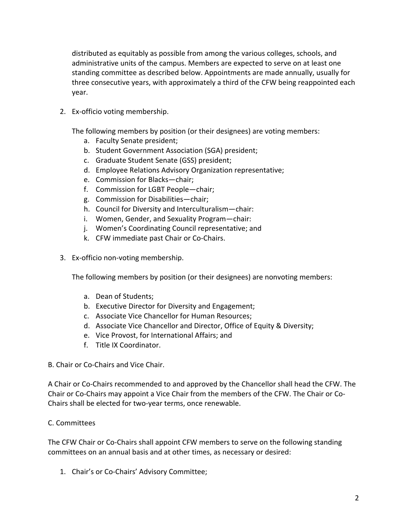distributed as equitably as possible from among the various colleges, schools, and administrative units of the campus. Members are expected to serve on at least one standing committee as described below. Appointments are made annually, usually for three consecutive years, with approximately a third of the CFW being reappointed each year.

2. Ex-officio voting membership.

The following members by position (or their designees) are voting members:

- a. Faculty Senate president;
- b. Student Government Association (SGA) president;
- c. Graduate Student Senate (GSS) president;
- d. Employee Relations Advisory Organization representative;
- e. Commission for Blacks—chair;
- f. Commission for LGBT People—chair;
- g. Commission for Disabilities—chair;
- h. Council for Diversity and Interculturalism—chair:
- i. Women, Gender, and Sexuality Program—chair:
- j. Women's Coordinating Council representative; and
- k. CFW immediate past Chair or Co-Chairs.
- 3. Ex-officio non-voting membership.

The following members by position (or their designees) are nonvoting members:

- a. Dean of Students;
- b. Executive Director for Diversity and Engagement;
- c. Associate Vice Chancellor for Human Resources;
- d. Associate Vice Chancellor and Director, Office of Equity & Diversity;
- e. Vice Provost, for International Affairs; and
- f. Title IX Coordinator.
- B. Chair or Co-Chairs and Vice Chair.

A Chair or Co-Chairs recommended to and approved by the Chancellor shall head the CFW. The Chair or Co-Chairs may appoint a Vice Chair from the members of the CFW. The Chair or Co-Chairs shall be elected for two-year terms, once renewable.

# C. Committees

The CFW Chair or Co-Chairs shall appoint CFW members to serve on the following standing committees on an annual basis and at other times, as necessary or desired:

1. Chair's or Co-Chairs' Advisory Committee;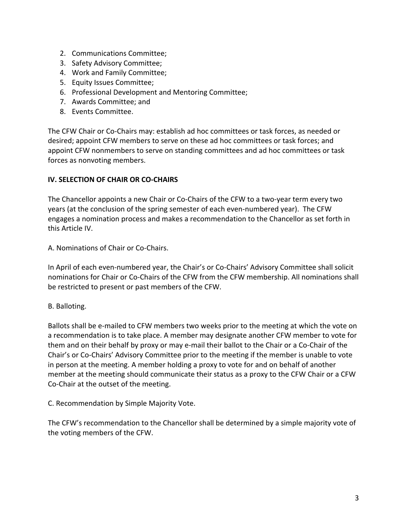- 2. Communications Committee;
- 3. Safety Advisory Committee;
- 4. Work and Family Committee;
- 5. Equity Issues Committee;
- 6. Professional Development and Mentoring Committee;
- 7. Awards Committee; and
- 8. Events Committee.

The CFW Chair or Co-Chairs may: establish ad hoc committees or task forces, as needed or desired; appoint CFW members to serve on these ad hoc committees or task forces; and appoint CFW nonmembers to serve on standing committees and ad hoc committees or task forces as nonvoting members.

# **IV. SELECTION OF CHAIR OR CO-CHAIRS**

The Chancellor appoints a new Chair or Co-Chairs of the CFW to a two-year term every two years (at the conclusion of the spring semester of each even-numbered year). The CFW engages a nomination process and makes a recommendation to the Chancellor as set forth in this Article IV.

A. Nominations of Chair or Co-Chairs.

In April of each even-numbered year, the Chair's or Co-Chairs' Advisory Committee shall solicit nominations for Chair or Co-Chairs of the CFW from the CFW membership. All nominations shall be restricted to present or past members of the CFW.

B. Balloting.

Ballots shall be e-mailed to CFW members two weeks prior to the meeting at which the vote on a recommendation is to take place. A member may designate another CFW member to vote for them and on their behalf by proxy or may e-mail their ballot to the Chair or a Co-Chair of the Chair's or Co-Chairs' Advisory Committee prior to the meeting if the member is unable to vote in person at the meeting. A member holding a proxy to vote for and on behalf of another member at the meeting should communicate their status as a proxy to the CFW Chair or a CFW Co-Chair at the outset of the meeting.

C. Recommendation by Simple Majority Vote.

The CFW's recommendation to the Chancellor shall be determined by a simple majority vote of the voting members of the CFW.